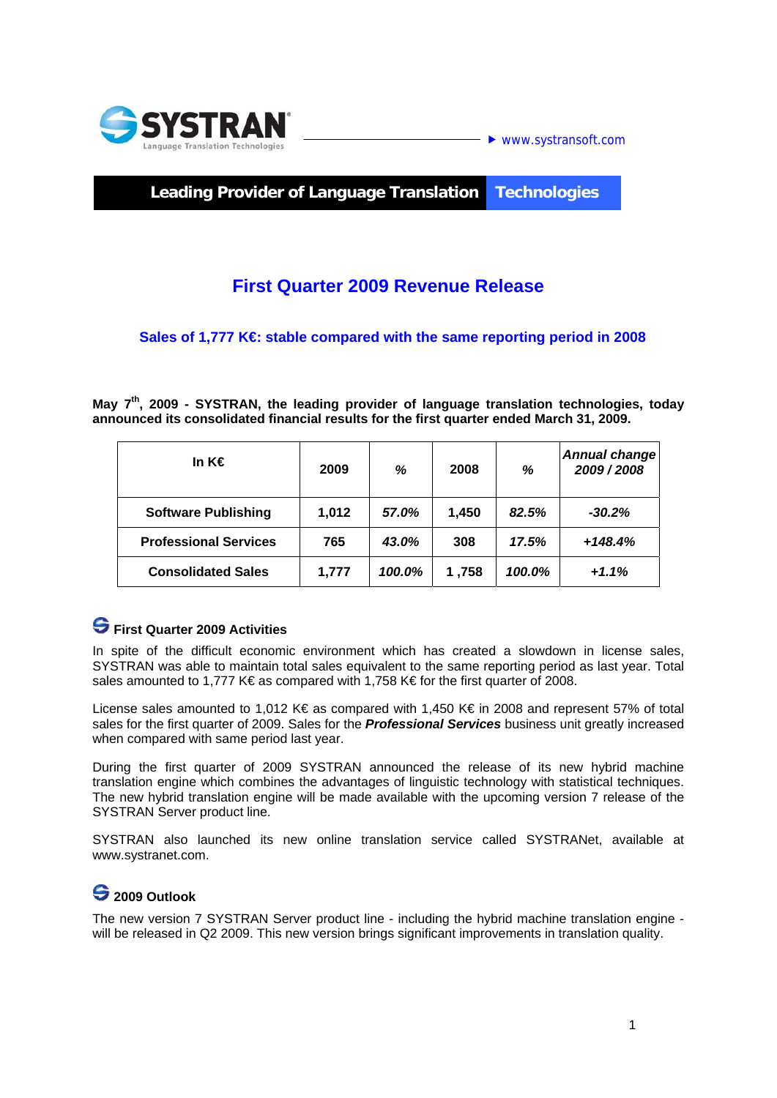

### **Leading Provider of Language Translation Technologies**

# **First Quarter 2009 Revenue Release**

### Sales of 1,777 K€ stable compared with the same reporting period in 2008

**May 7th, 2009 - SYSTRAN, the leading provider of language translation technologies, today announced its consolidated financial results for the first quarter ended March 31, 2009.** 

| In K€                        | 2009  | ℅      | 2008  | %      | Annual change<br>2009/2008 |
|------------------------------|-------|--------|-------|--------|----------------------------|
| <b>Software Publishing</b>   | 1,012 | 57.0%  | 1.450 | 82.5%  | $-30.2%$                   |
| <b>Professional Services</b> | 765   | 43.0%  | 308   | 17.5%  | $+148.4%$                  |
| <b>Consolidated Sales</b>    | 1,777 | 100.0% | 1,758 | 100.0% | $+1.1%$                    |

## **First Quarter 2009 Activities**

In spite of the difficult economic environment which has created a slowdown in license sales, SYSTRAN was able to maintain total sales equivalent to the same reporting period as last year. Total sales amounted to 1,777 K€ as compared with 1,758 K€ for the first quarter of 2008.

License sales amounted to 1,012 K€ as compared with 1,450 K€ in 2008 and represent 57% of total sales for the first quarter of 2009. Sales for the *Professional Services* business unit greatly increased when compared with same period last year.

During the first quarter of 2009 SYSTRAN announced the release of its new hybrid machine translation engine which combines the advantages of linguistic technology with statistical techniques. The new hybrid translation engine will be made available with the upcoming version 7 release of the SYSTRAN Server product line.

SYSTRAN also launched its new online translation service called SYSTRANet, available at www.systranet.com.

## **2009 Outlook**

The new version 7 SYSTRAN Server product line - including the hybrid machine translation engine will be released in Q2 2009. This new version brings significant improvements in translation quality.